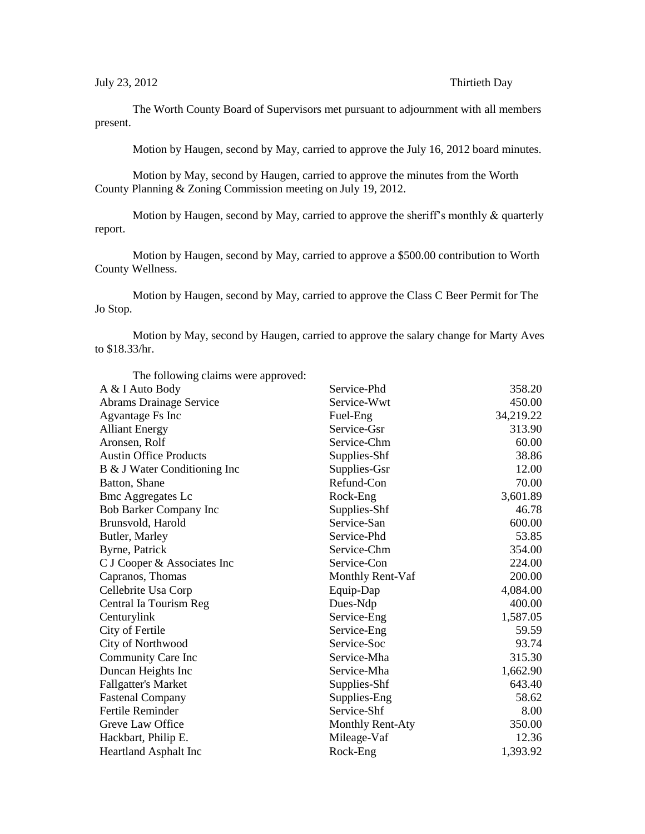The Worth County Board of Supervisors met pursuant to adjournment with all members present.

Motion by Haugen, second by May, carried to approve the July 16, 2012 board minutes.

Motion by May, second by Haugen, carried to approve the minutes from the Worth County Planning & Zoning Commission meeting on July 19, 2012.

Motion by Haugen, second by May, carried to approve the sheriff's monthly & quarterly report.

Motion by Haugen, second by May, carried to approve a \$500.00 contribution to Worth County Wellness.

Motion by Haugen, second by May, carried to approve the Class C Beer Permit for The Jo Stop.

Motion by May, second by Haugen, carried to approve the salary change for Marty Aves to \$18.33/hr.

| The following claims were approved: |                         |           |
|-------------------------------------|-------------------------|-----------|
| A & I Auto Body                     | Service-Phd             | 358.20    |
| Abrams Drainage Service             | Service-Wwt             | 450.00    |
| Agvantage Fs Inc                    | Fuel-Eng                | 34,219.22 |
| <b>Alliant Energy</b>               | Service-Gsr             | 313.90    |
| Aronsen, Rolf                       | Service-Chm             | 60.00     |
| <b>Austin Office Products</b>       | Supplies-Shf            | 38.86     |
| B & J Water Conditioning Inc        | Supplies-Gsr            | 12.00     |
| Batton, Shane                       | Refund-Con              | 70.00     |
| <b>Bmc Aggregates Lc</b>            | Rock-Eng                | 3,601.89  |
| <b>Bob Barker Company Inc</b>       | Supplies-Shf            | 46.78     |
| Brunsvold, Harold                   | Service-San             | 600.00    |
| Butler, Marley                      | Service-Phd             | 53.85     |
| Byrne, Patrick                      | Service-Chm             | 354.00    |
| C J Cooper & Associates Inc         | Service-Con             | 224.00    |
| Capranos, Thomas                    | Monthly Rent-Vaf        | 200.00    |
| Cellebrite Usa Corp                 | Equip-Dap               | 4,084.00  |
| Central Ia Tourism Reg              | Dues-Ndp                | 400.00    |
| Centurylink                         | Service-Eng             | 1,587.05  |
| City of Fertile                     | Service-Eng             | 59.59     |
| City of Northwood                   | Service-Soc             | 93.74     |
| Community Care Inc                  | Service-Mha             | 315.30    |
| Duncan Heights Inc                  | Service-Mha             | 1,662.90  |
| <b>Fallgatter's Market</b>          | Supplies-Shf            | 643.40    |
| <b>Fastenal Company</b>             | Supplies-Eng            | 58.62     |
| Fertile Reminder                    | Service-Shf             | 8.00      |
| Greve Law Office                    | <b>Monthly Rent-Aty</b> | 350.00    |
| Hackbart, Philip E.                 | Mileage-Vaf             | 12.36     |
| Heartland Asphalt Inc               | Rock-Eng                | 1,393.92  |

The following claims were approved: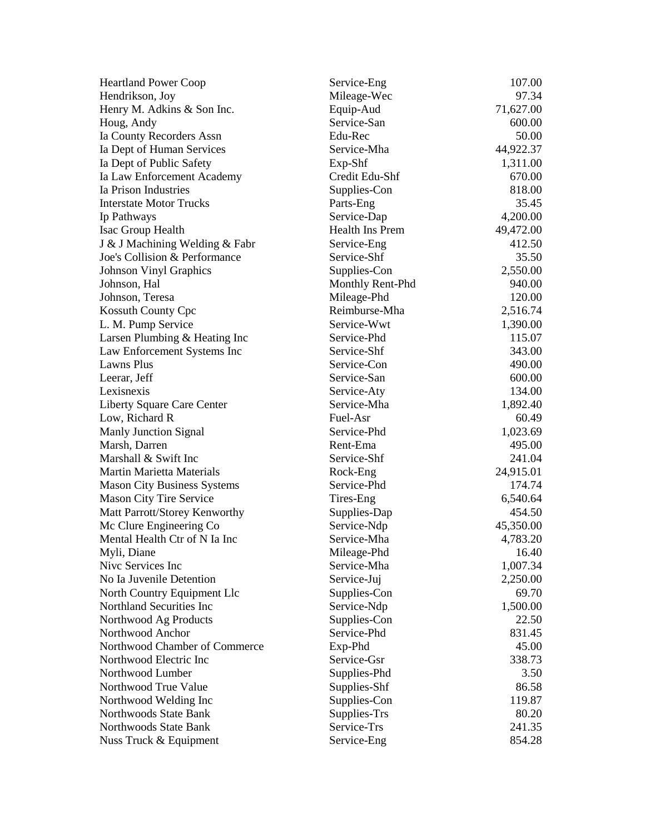| <b>Heartland Power Coop</b>        | Service-Eng            | 107.00    |
|------------------------------------|------------------------|-----------|
| Hendrikson, Joy                    | Mileage-Wec            | 97.34     |
| Henry M. Adkins & Son Inc.         | Equip-Aud              | 71,627.00 |
| Houg, Andy                         | Service-San            | 600.00    |
| Ia County Recorders Assn           | Edu-Rec                | 50.00     |
| Ia Dept of Human Services          | Service-Mha            | 44,922.37 |
| Ia Dept of Public Safety           | Exp-Shf                | 1,311.00  |
| Ia Law Enforcement Academy         | Credit Edu-Shf         | 670.00    |
| Ia Prison Industries               | Supplies-Con           | 818.00    |
| <b>Interstate Motor Trucks</b>     | Parts-Eng              | 35.45     |
| Ip Pathways                        | Service-Dap            | 4,200.00  |
| Isac Group Health                  | <b>Health Ins Prem</b> | 49,472.00 |
| J & J Machining Welding & Fabr     | Service-Eng            | 412.50    |
| Joe's Collision & Performance      | Service-Shf            | 35.50     |
| <b>Johnson Vinyl Graphics</b>      | Supplies-Con           | 2,550.00  |
| Johnson, Hal                       | Monthly Rent-Phd       | 940.00    |
| Johnson, Teresa                    | Mileage-Phd            | 120.00    |
| Kossuth County Cpc                 | Reimburse-Mha          | 2,516.74  |
| L. M. Pump Service                 | Service-Wwt            | 1,390.00  |
| Larsen Plumbing & Heating Inc      | Service-Phd            | 115.07    |
| Law Enforcement Systems Inc        | Service-Shf            | 343.00    |
| <b>Lawns Plus</b>                  | Service-Con            | 490.00    |
| Leerar, Jeff                       | Service-San            | 600.00    |
| Lexisnexis                         | Service-Aty            | 134.00    |
| Liberty Square Care Center         | Service-Mha            | 1,892.40  |
| Low, Richard R                     | Fuel-Asr               | 60.49     |
| Manly Junction Signal              | Service-Phd            | 1,023.69  |
| Marsh, Darren                      | Rent-Ema               | 495.00    |
| Marshall & Swift Inc               | Service-Shf            | 241.04    |
| <b>Martin Marietta Materials</b>   | Rock-Eng               | 24,915.01 |
| <b>Mason City Business Systems</b> | Service-Phd            | 174.74    |
| <b>Mason City Tire Service</b>     | Tires-Eng              | 6,540.64  |
| Matt Parrott/Storey Kenworthy      | Supplies-Dap           | 454.50    |
| Mc Clure Engineering Co            | Service-Ndp            | 45,350.00 |
| Mental Health Ctr of N Ia Inc      | Service-Mha            | 4,783.20  |
| Myli, Diane                        | Mileage-Phd            | 16.40     |
| Nive Services Inc                  | Service-Mha            | 1,007.34  |
| No Ia Juvenile Detention           | Service-Juj            | 2,250.00  |
| North Country Equipment Llc        | Supplies-Con           | 69.70     |
| Northland Securities Inc           | Service-Ndp            | 1,500.00  |
| Northwood Ag Products              | Supplies-Con           | 22.50     |
| Northwood Anchor                   | Service-Phd            | 831.45    |
| Northwood Chamber of Commerce      | Exp-Phd                | 45.00     |
| Northwood Electric Inc             | Service-Gsr            | 338.73    |
| Northwood Lumber                   | Supplies-Phd           | 3.50      |
| Northwood True Value               | Supplies-Shf           | 86.58     |
| Northwood Welding Inc              | Supplies-Con           | 119.87    |
| Northwoods State Bank              | Supplies-Trs           | 80.20     |
| Northwoods State Bank              | Service-Trs            | 241.35    |
| Nuss Truck & Equipment             | Service-Eng            | 854.28    |
|                                    |                        |           |